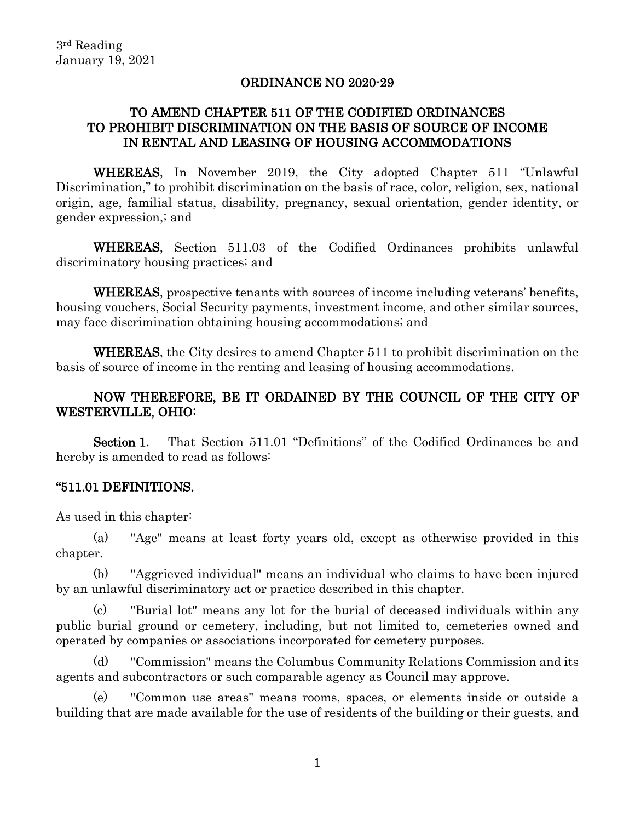#### ORDINANCE NO 2020-29

## TO AMEND CHAPTER 511 OF THE CODIFIED ORDINANCES TO PROHIBIT DISCRIMINATION ON THE BASIS OF SOURCE OF INCOME IN RENTAL AND LEASING OF HOUSING ACCOMMODATIONS

WHEREAS, In November 2019, the City adopted Chapter 511 "Unlawful Discrimination," to prohibit discrimination on the basis of race, color, religion, sex, national origin, age, familial status, disability, pregnancy, sexual orientation, gender identity, or gender expression,; and

WHEREAS, Section 511.03 of the Codified Ordinances prohibits unlawful discriminatory housing practices; and

WHEREAS, prospective tenants with sources of income including veterans' benefits, housing vouchers, Social Security payments, investment income, and other similar sources, may face discrimination obtaining housing accommodations; and

WHEREAS, the City desires to amend Chapter 511 to prohibit discrimination on the basis of source of income in the renting and leasing of housing accommodations.

# NOW THEREFORE, BE IT ORDAINED BY THE COUNCIL OF THE CITY OF WESTERVILLE, OHIO:

Section 1. That Section 511.01 "Definitions" of the Codified Ordinances be and hereby is amended to read as follows:

### "511.01 DEFINITIONS.

As used in this chapter:

(a) "Age" means at least forty years old, except as otherwise provided in this chapter.

(b) "Aggrieved individual" means an individual who claims to have been injured by an unlawful discriminatory act or practice described in this chapter.

(c) "Burial lot" means any lot for the burial of deceased individuals within any public burial ground or cemetery, including, but not limited to, cemeteries owned and operated by companies or associations incorporated for cemetery purposes.

(d) "Commission" means the Columbus Community Relations Commission and its agents and subcontractors or such comparable agency as Council may approve.

(e) "Common use areas" means rooms, spaces, or elements inside or outside a building that are made available for the use of residents of the building or their guests, and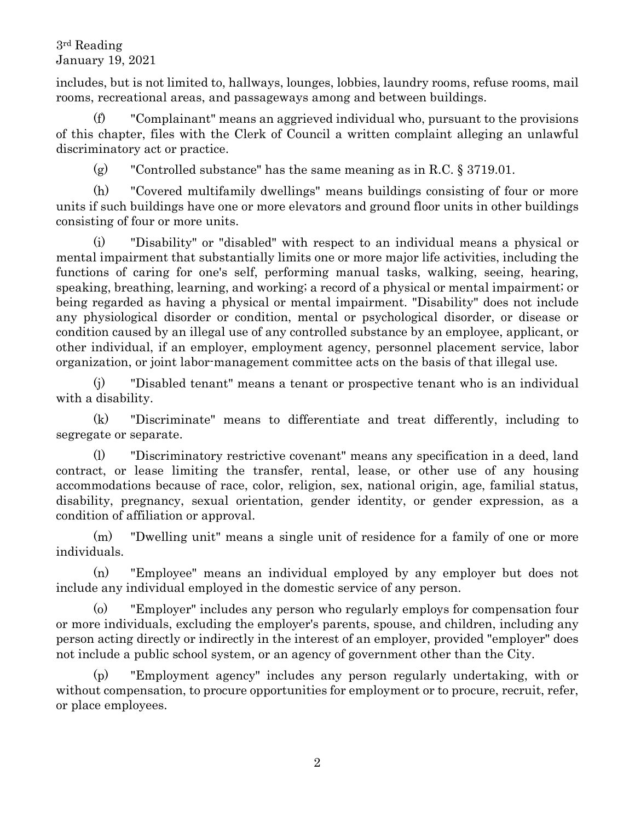includes, but is not limited to, hallways, lounges, lobbies, laundry rooms, refuse rooms, mail rooms, recreational areas, and passageways among and between buildings.

(f) "Complainant" means an aggrieved individual who, pursuant to the provisions of this chapter, files with the Clerk of Council a written complaint alleging an unlawful discriminatory act or practice.

(g) "Controlled substance" has the same meaning as in R.C.  $\S 3719.01$ .

(h) "Covered multifamily dwellings" means buildings consisting of four or more units if such buildings have one or more elevators and ground floor units in other buildings consisting of four or more units.

(i) "Disability" or "disabled" with respect to an individual means a physical or mental impairment that substantially limits one or more major life activities, including the functions of caring for one's self, performing manual tasks, walking, seeing, hearing, speaking, breathing, learning, and working; a record of a physical or mental impairment; or being regarded as having a physical or mental impairment. "Disability" does not include any physiological disorder or condition, mental or psychological disorder, or disease or condition caused by an illegal use of any controlled substance by an employee, applicant, or other individual, if an employer, employment agency, personnel placement service, labor organization, or joint labor-management committee acts on the basis of that illegal use.

(j) "Disabled tenant" means a tenant or prospective tenant who is an individual with a disability.

(k) "Discriminate" means to differentiate and treat differently, including to segregate or separate.

(l) "Discriminatory restrictive covenant" means any specification in a deed, land contract, or lease limiting the transfer, rental, lease, or other use of any housing accommodations because of race, color, religion, sex, national origin, age, familial status, disability, pregnancy, sexual orientation, gender identity, or gender expression, as a condition of affiliation or approval.

(m) "Dwelling unit" means a single unit of residence for a family of one or more individuals.

(n) "Employee" means an individual employed by any employer but does not include any individual employed in the domestic service of any person.

(o) "Employer" includes any person who regularly employs for compensation four or more individuals, excluding the employer's parents, spouse, and children, including any person acting directly or indirectly in the interest of an employer, provided "employer" does not include a public school system, or an agency of government other than the City.

(p) "Employment agency" includes any person regularly undertaking, with or without compensation, to procure opportunities for employment or to procure, recruit, refer, or place employees.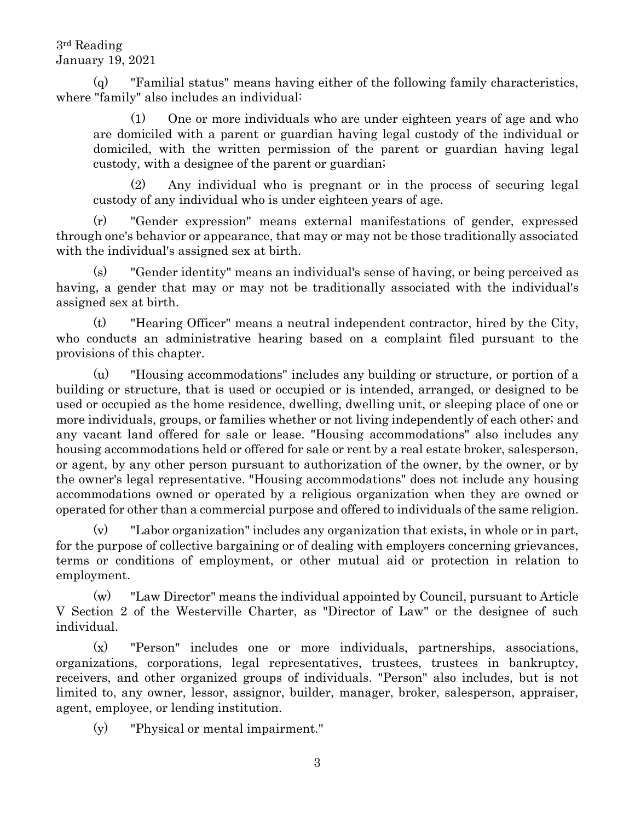(q) "Familial status" means having either of the following family characteristics, where "family" also includes an individual:

(1) One or more individuals who are under eighteen years of age and who are domiciled with a parent or guardian having legal custody of the individual or domiciled, with the written permission of the parent or guardian having legal custody, with a designee of the parent or guardian;

(2) Any individual who is pregnant or in the process of securing legal custody of any individual who is under eighteen years of age.

(r) "Gender expression" means external manifestations of gender, expressed through one's behavior or appearance, that may or may not be those traditionally associated with the individual's assigned sex at birth.

(s) "Gender identity" means an individual's sense of having, or being perceived as having, a gender that may or may not be traditionally associated with the individual's assigned sex at birth.

(t) "Hearing Officer" means a neutral independent contractor, hired by the City, who conducts an administrative hearing based on a complaint filed pursuant to the provisions of this chapter.

(u) "Housing accommodations" includes any building or structure, or portion of a building or structure, that is used or occupied or is intended, arranged, or designed to be used or occupied as the home residence, dwelling, dwelling unit, or sleeping place of one or more individuals, groups, or families whether or not living independently of each other; and any vacant land offered for sale or lease. "Housing accommodations" also includes any housing accommodations held or offered for sale or rent by a real estate broker, salesperson, or agent, by any other person pursuant to authorization of the owner, by the owner, or by the owner's legal representative. "Housing accommodations" does not include any housing accommodations owned or operated by a religious organization when they are owned or operated for other than a commercial purpose and offered to individuals of the same religion.

(v) "Labor organization" includes any organization that exists, in whole or in part, for the purpose of collective bargaining or of dealing with employers concerning grievances, terms or conditions of employment, or other mutual aid or protection in relation to employment.

(w) "Law Director" means the individual appointed by Council, pursuant to Article V Section 2 of the Westerville Charter, as "Director of Law" or the designee of such individual.

(x) "Person" includes one or more individuals, partnerships, associations, organizations, corporations, legal representatives, trustees, trustees in bankruptcy, receivers, and other organized groups of individuals. "Person" also includes, but is not limited to, any owner, lessor, assignor, builder, manager, broker, salesperson, appraiser, agent, employee, or lending institution.

(y) "Physical or mental impairment."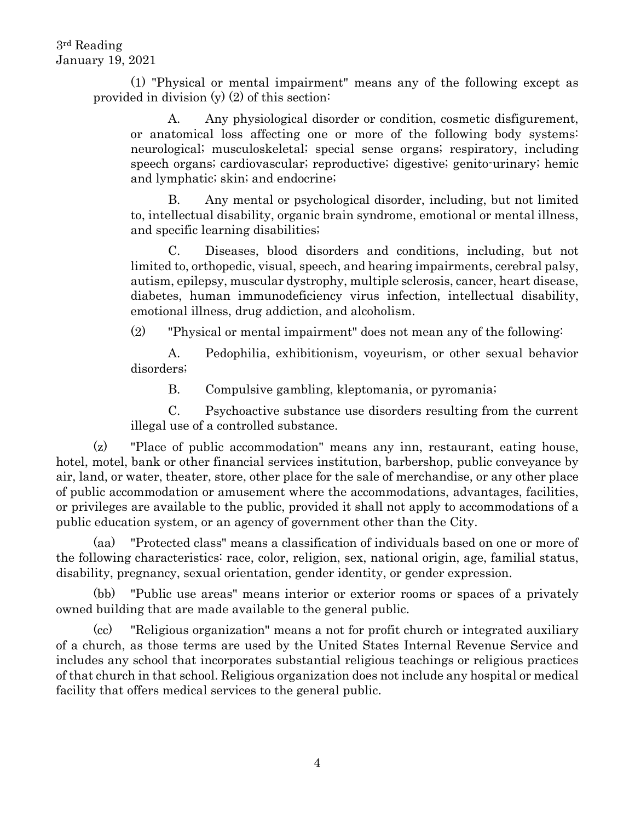> (1) "Physical or mental impairment" means any of the following except as provided in division  $(y)$  (2) of this section:

A. Any physiological disorder or condition, cosmetic disfigurement, or anatomical loss affecting one or more of the following body systems: neurological; musculoskeletal; special sense organs; respiratory, including speech organs; cardiovascular; reproductive; digestive; genito-urinary; hemic and lymphatic; skin; and endocrine;

B. Any mental or psychological disorder, including, but not limited to, intellectual disability, organic brain syndrome, emotional or mental illness, and specific learning disabilities;

C. Diseases, blood disorders and conditions, including, but not limited to, orthopedic, visual, speech, and hearing impairments, cerebral palsy, autism, epilepsy, muscular dystrophy, multiple sclerosis, cancer, heart disease, diabetes, human immunodeficiency virus infection, intellectual disability, emotional illness, drug addiction, and alcoholism.

(2) "Physical or mental impairment" does not mean any of the following:

A. Pedophilia, exhibitionism, voyeurism, or other sexual behavior disorders;

B. Compulsive gambling, kleptomania, or pyromania;

C. Psychoactive substance use disorders resulting from the current illegal use of a controlled substance.

(z) "Place of public accommodation" means any inn, restaurant, eating house, hotel, motel, bank or other financial services institution, barbershop, public conveyance by air, land, or water, theater, store, other place for the sale of merchandise, or any other place of public accommodation or amusement where the accommodations, advantages, facilities, or privileges are available to the public, provided it shall not apply to accommodations of a public education system, or an agency of government other than the City.

(aa) "Protected class" means a classification of individuals based on one or more of the following characteristics: race, color, religion, sex, national origin, age, familial status, disability, pregnancy, sexual orientation, gender identity, or gender expression.

(bb) "Public use areas" means interior or exterior rooms or spaces of a privately owned building that are made available to the general public.

(cc) "Religious organization" means a not for profit church or integrated auxiliary of a church, as those terms are used by the United States Internal Revenue Service and includes any school that incorporates substantial religious teachings or religious practices of that church in that school. Religious organization does not include any hospital or medical facility that offers medical services to the general public.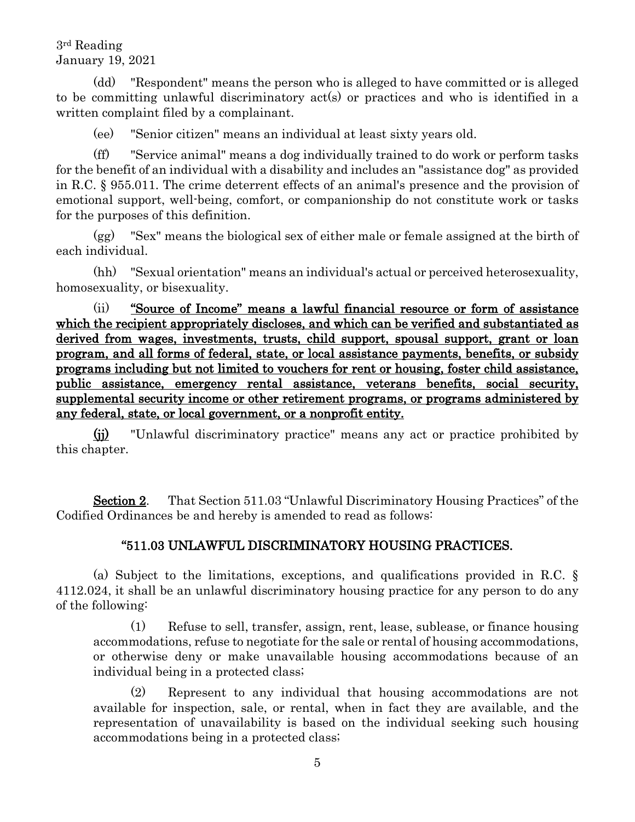(dd) "Respondent" means the person who is alleged to have committed or is alleged to be committing unlawful discriminatory act(s) or practices and who is identified in a written complaint filed by a complainant.

(ee) "Senior citizen" means an individual at least sixty years old.

(ff) "Service animal" means a dog individually trained to do work or perform tasks for the benefit of an individual with a disability and includes an "assistance dog" as provided in R.C. § 955.011. The crime deterrent effects of an animal's presence and the provision of emotional support, well-being, comfort, or companionship do not constitute work or tasks for the purposes of this definition.

(gg) "Sex" means the biological sex of either male or female assigned at the birth of each individual.

(hh) "Sexual orientation" means an individual's actual or perceived heterosexuality, homosexuality, or bisexuality.

(ii) "Source of Income" means a lawful financial resource or form of assistance which the recipient appropriately discloses, and which can be verified and substantiated as derived from wages, investments, trusts, child support, spousal support, grant or loan program, and all forms of federal, state, or local assistance payments, benefits, or subsidy programs including but not limited to vouchers for rent or housing, foster child assistance, public assistance, emergency rental assistance, veterans benefits, social security, supplemental security income or other retirement programs, or programs administered by any federal, state, or local government, or a nonprofit entity.

(jj) "Unlawful discriminatory practice" means any act or practice prohibited by this chapter.

Section 2. That Section 511.03 "Unlawful Discriminatory Housing Practices" of the Codified Ordinances be and hereby is amended to read as follows:

# "511.03 UNLAWFUL DISCRIMINATORY HOUSING PRACTICES.

(a) Subject to the limitations, exceptions, and qualifications provided in R.C. § 4112.024, it shall be an unlawful discriminatory housing practice for any person to do any of the following:

(1) Refuse to sell, transfer, assign, rent, lease, sublease, or finance housing accommodations, refuse to negotiate for the sale or rental of housing accommodations, or otherwise deny or make unavailable housing accommodations because of an individual being in a protected class;

(2) Represent to any individual that housing accommodations are not available for inspection, sale, or rental, when in fact they are available, and the representation of unavailability is based on the individual seeking such housing accommodations being in a protected class;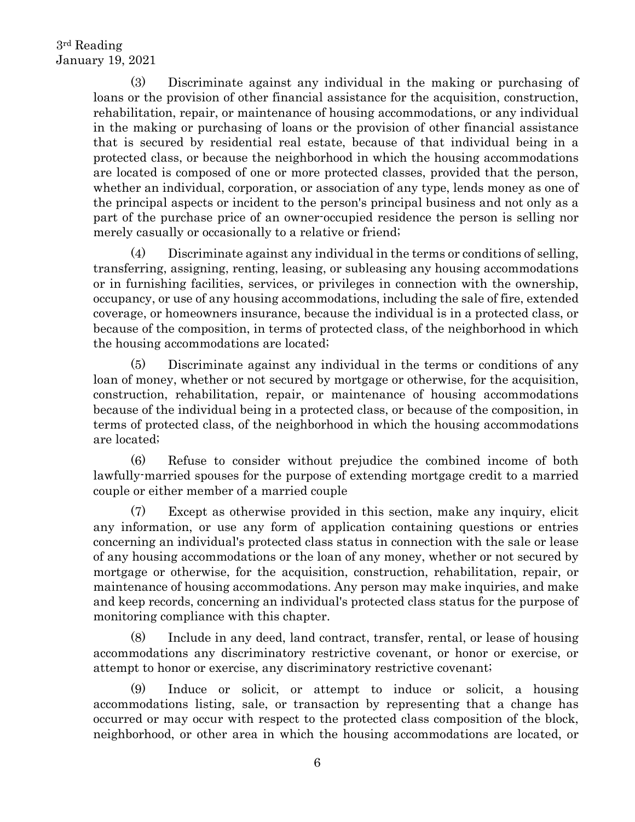(3) Discriminate against any individual in the making or purchasing of loans or the provision of other financial assistance for the acquisition, construction, rehabilitation, repair, or maintenance of housing accommodations, or any individual in the making or purchasing of loans or the provision of other financial assistance that is secured by residential real estate, because of that individual being in a protected class, or because the neighborhood in which the housing accommodations are located is composed of one or more protected classes, provided that the person, whether an individual, corporation, or association of any type, lends money as one of the principal aspects or incident to the person's principal business and not only as a part of the purchase price of an owner-occupied residence the person is selling nor merely casually or occasionally to a relative or friend;

(4) Discriminate against any individual in the terms or conditions of selling, transferring, assigning, renting, leasing, or subleasing any housing accommodations or in furnishing facilities, services, or privileges in connection with the ownership, occupancy, or use of any housing accommodations, including the sale of fire, extended coverage, or homeowners insurance, because the individual is in a protected class, or because of the composition, in terms of protected class, of the neighborhood in which the housing accommodations are located;

(5) Discriminate against any individual in the terms or conditions of any loan of money, whether or not secured by mortgage or otherwise, for the acquisition, construction, rehabilitation, repair, or maintenance of housing accommodations because of the individual being in a protected class, or because of the composition, in terms of protected class, of the neighborhood in which the housing accommodations are located;

(6) Refuse to consider without prejudice the combined income of both lawfully-married spouses for the purpose of extending mortgage credit to a married couple or either member of a married couple

(7) Except as otherwise provided in this section, make any inquiry, elicit any information, or use any form of application containing questions or entries concerning an individual's protected class status in connection with the sale or lease of any housing accommodations or the loan of any money, whether or not secured by mortgage or otherwise, for the acquisition, construction, rehabilitation, repair, or maintenance of housing accommodations. Any person may make inquiries, and make and keep records, concerning an individual's protected class status for the purpose of monitoring compliance with this chapter.

(8) Include in any deed, land contract, transfer, rental, or lease of housing accommodations any discriminatory restrictive covenant, or honor or exercise, or attempt to honor or exercise, any discriminatory restrictive covenant;

(9) Induce or solicit, or attempt to induce or solicit, a housing accommodations listing, sale, or transaction by representing that a change has occurred or may occur with respect to the protected class composition of the block, neighborhood, or other area in which the housing accommodations are located, or

6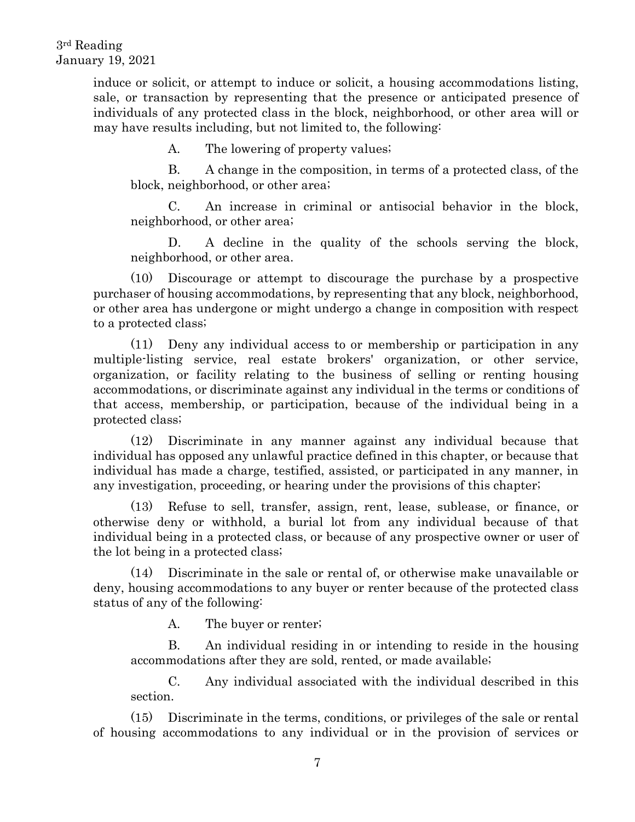induce or solicit, or attempt to induce or solicit, a housing accommodations listing, sale, or transaction by representing that the presence or anticipated presence of individuals of any protected class in the block, neighborhood, or other area will or may have results including, but not limited to, the following:

A. The lowering of property values;

B. A change in the composition, in terms of a protected class, of the block, neighborhood, or other area;

C. An increase in criminal or antisocial behavior in the block, neighborhood, or other area;

D. A decline in the quality of the schools serving the block, neighborhood, or other area.

(10) Discourage or attempt to discourage the purchase by a prospective purchaser of housing accommodations, by representing that any block, neighborhood, or other area has undergone or might undergo a change in composition with respect to a protected class;

(11) Deny any individual access to or membership or participation in any multiple-listing service, real estate brokers' organization, or other service, organization, or facility relating to the business of selling or renting housing accommodations, or discriminate against any individual in the terms or conditions of that access, membership, or participation, because of the individual being in a protected class;

(12) Discriminate in any manner against any individual because that individual has opposed any unlawful practice defined in this chapter, or because that individual has made a charge, testified, assisted, or participated in any manner, in any investigation, proceeding, or hearing under the provisions of this chapter;

(13) Refuse to sell, transfer, assign, rent, lease, sublease, or finance, or otherwise deny or withhold, a burial lot from any individual because of that individual being in a protected class, or because of any prospective owner or user of the lot being in a protected class;

(14) Discriminate in the sale or rental of, or otherwise make unavailable or deny, housing accommodations to any buyer or renter because of the protected class status of any of the following:

A. The buyer or renter;

B. An individual residing in or intending to reside in the housing accommodations after they are sold, rented, or made available;

C. Any individual associated with the individual described in this section.

(15) Discriminate in the terms, conditions, or privileges of the sale or rental of housing accommodations to any individual or in the provision of services or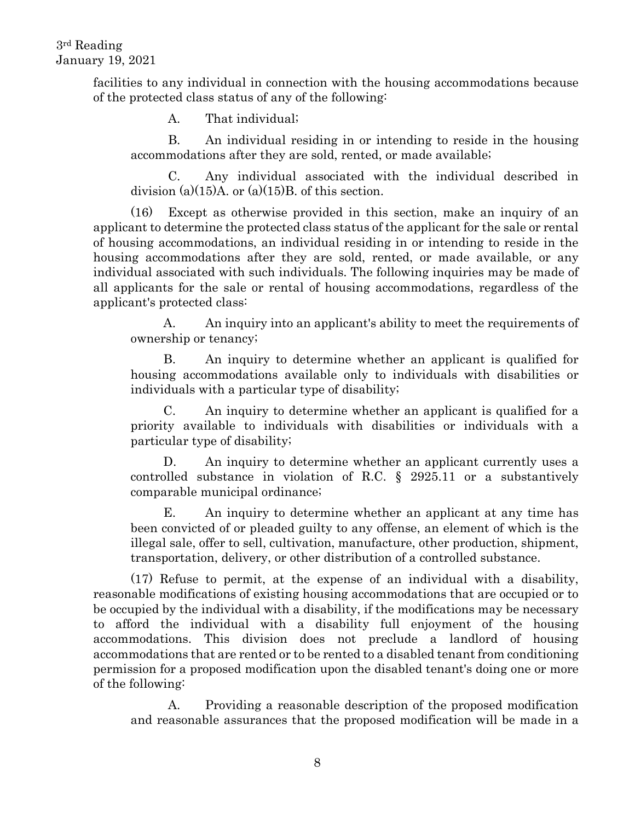facilities to any individual in connection with the housing accommodations because of the protected class status of any of the following:

A. That individual;

B. An individual residing in or intending to reside in the housing accommodations after they are sold, rented, or made available;

C. Any individual associated with the individual described in division (a) $(15)$ A. or (a) $(15)$ B. of this section.

(16) Except as otherwise provided in this section, make an inquiry of an applicant to determine the protected class status of the applicant for the sale or rental of housing accommodations, an individual residing in or intending to reside in the housing accommodations after they are sold, rented, or made available, or any individual associated with such individuals. The following inquiries may be made of all applicants for the sale or rental of housing accommodations, regardless of the applicant's protected class:

A. An inquiry into an applicant's ability to meet the requirements of ownership or tenancy;

B. An inquiry to determine whether an applicant is qualified for housing accommodations available only to individuals with disabilities or individuals with a particular type of disability;

C. An inquiry to determine whether an applicant is qualified for a priority available to individuals with disabilities or individuals with a particular type of disability;

D. An inquiry to determine whether an applicant currently uses a controlled substance in violation of R.C. § 2925.11 or a substantively comparable municipal ordinance;

E. An inquiry to determine whether an applicant at any time has been convicted of or pleaded guilty to any offense, an element of which is the illegal sale, offer to sell, cultivation, manufacture, other production, shipment, transportation, delivery, or other distribution of a controlled substance.

(17) Refuse to permit, at the expense of an individual with a disability, reasonable modifications of existing housing accommodations that are occupied or to be occupied by the individual with a disability, if the modifications may be necessary to afford the individual with a disability full enjoyment of the housing accommodations. This division does not preclude a landlord of housing accommodations that are rented or to be rented to a disabled tenant from conditioning permission for a proposed modification upon the disabled tenant's doing one or more of the following:

A. Providing a reasonable description of the proposed modification and reasonable assurances that the proposed modification will be made in a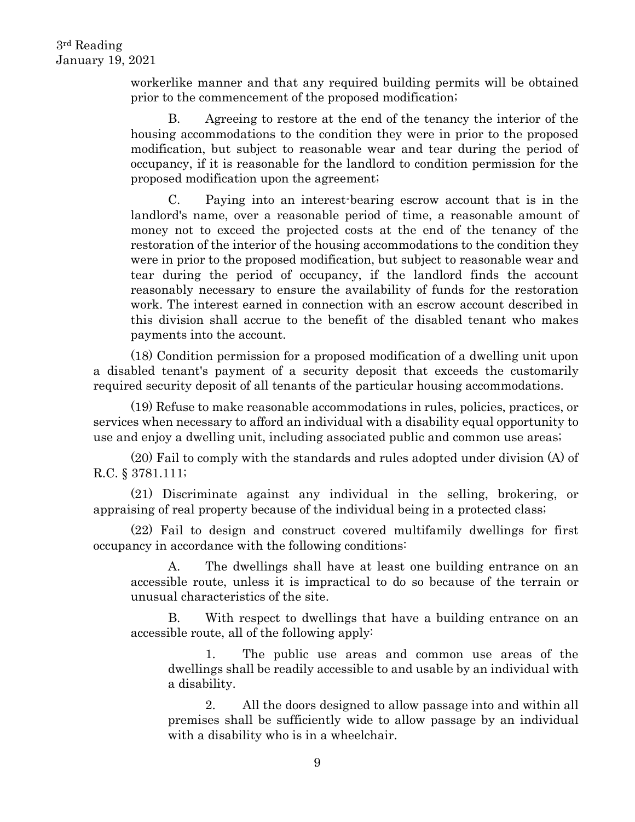workerlike manner and that any required building permits will be obtained prior to the commencement of the proposed modification;

B. Agreeing to restore at the end of the tenancy the interior of the housing accommodations to the condition they were in prior to the proposed modification, but subject to reasonable wear and tear during the period of occupancy, if it is reasonable for the landlord to condition permission for the proposed modification upon the agreement;

C. Paying into an interest-bearing escrow account that is in the landlord's name, over a reasonable period of time, a reasonable amount of money not to exceed the projected costs at the end of the tenancy of the restoration of the interior of the housing accommodations to the condition they were in prior to the proposed modification, but subject to reasonable wear and tear during the period of occupancy, if the landlord finds the account reasonably necessary to ensure the availability of funds for the restoration work. The interest earned in connection with an escrow account described in this division shall accrue to the benefit of the disabled tenant who makes payments into the account.

(18) Condition permission for a proposed modification of a dwelling unit upon a disabled tenant's payment of a security deposit that exceeds the customarily required security deposit of all tenants of the particular housing accommodations.

(19) Refuse to make reasonable accommodations in rules, policies, practices, or services when necessary to afford an individual with a disability equal opportunity to use and enjoy a dwelling unit, including associated public and common use areas;

(20) Fail to comply with the standards and rules adopted under division (A) of R.C. § 3781.111;

(21) Discriminate against any individual in the selling, brokering, or appraising of real property because of the individual being in a protected class;

(22) Fail to design and construct covered multifamily dwellings for first occupancy in accordance with the following conditions:

A. The dwellings shall have at least one building entrance on an accessible route, unless it is impractical to do so because of the terrain or unusual characteristics of the site.

B. With respect to dwellings that have a building entrance on an accessible route, all of the following apply:

1. The public use areas and common use areas of the dwellings shall be readily accessible to and usable by an individual with a disability.

2. All the doors designed to allow passage into and within all premises shall be sufficiently wide to allow passage by an individual with a disability who is in a wheelchair.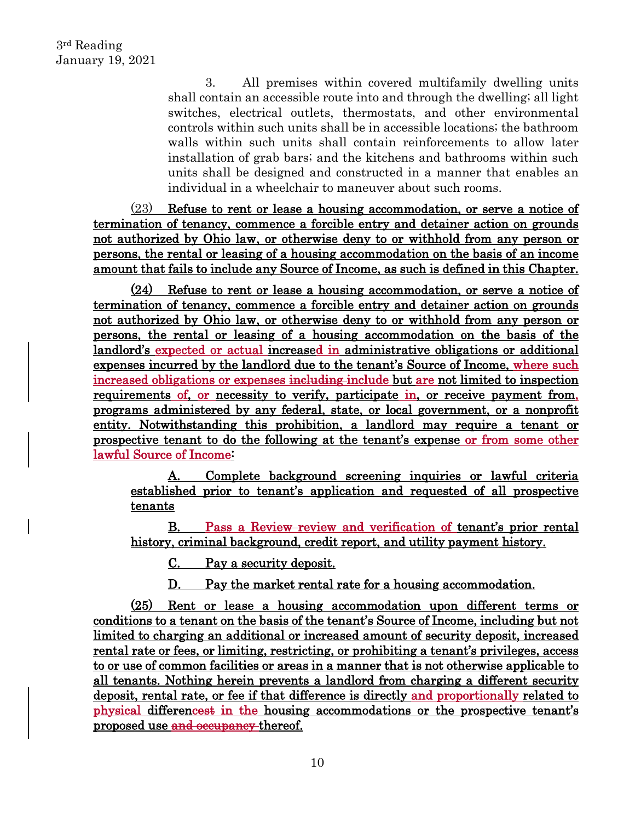3. All premises within covered multifamily dwelling units shall contain an accessible route into and through the dwelling; all light switches, electrical outlets, thermostats, and other environmental controls within such units shall be in accessible locations; the bathroom walls within such units shall contain reinforcements to allow later installation of grab bars; and the kitchens and bathrooms within such units shall be designed and constructed in a manner that enables an individual in a wheelchair to maneuver about such rooms.

(23) Refuse to rent or lease a housing accommodation, or serve a notice of termination of tenancy, commence a forcible entry and detainer action on grounds not authorized by Ohio law, or otherwise deny to or withhold from any person or persons, the rental or leasing of a housing accommodation on the basis of an income amount that fails to include any Source of Income, as such is defined in this Chapter.

(24) Refuse to rent or lease a housing accommodation, or serve a notice of termination of tenancy, commence a forcible entry and detainer action on grounds not authorized by Ohio law, or otherwise deny to or withhold from any person or persons, the rental or leasing of a housing accommodation on the basis of the landlord's expected or actual increased in administrative obligations or additional expenses incurred by the landlord due to the tenant's Source of Income, where such increased obligations or expenses including include but are not limited to inspection requirements of, or necessity to verify, participate in, or receive payment from, programs administered by any federal, state, or local government, or a nonprofit entity. Notwithstanding this prohibition, a landlord may require a tenant or prospective tenant to do the following at the tenant's expense or from some other lawful Source of Income:

A. Complete background screening inquiries or lawful criteria established prior to tenant's application and requested of all prospective tenants

B. Pass a Review review and verification of tenant's prior rental history, criminal background, credit report, and utility payment history.

C. Pay a security deposit.

D. Pay the market rental rate for a housing accommodation.

(25) Rent or lease a housing accommodation upon different terms or conditions to a tenant on the basis of the tenant's Source of Income, including but not limited to charging an additional or increased amount of security deposit, increased rental rate or fees, or limiting, restricting, or prohibiting a tenant's privileges, access to or use of common facilities or areas in a manner that is not otherwise applicable to all tenants. Nothing herein prevents a landlord from charging a different security deposit, rental rate, or fee if that difference is directly and proportionally related to physical differencest in the housing accommodations or the prospective tenant's proposed use and occupancy thereof.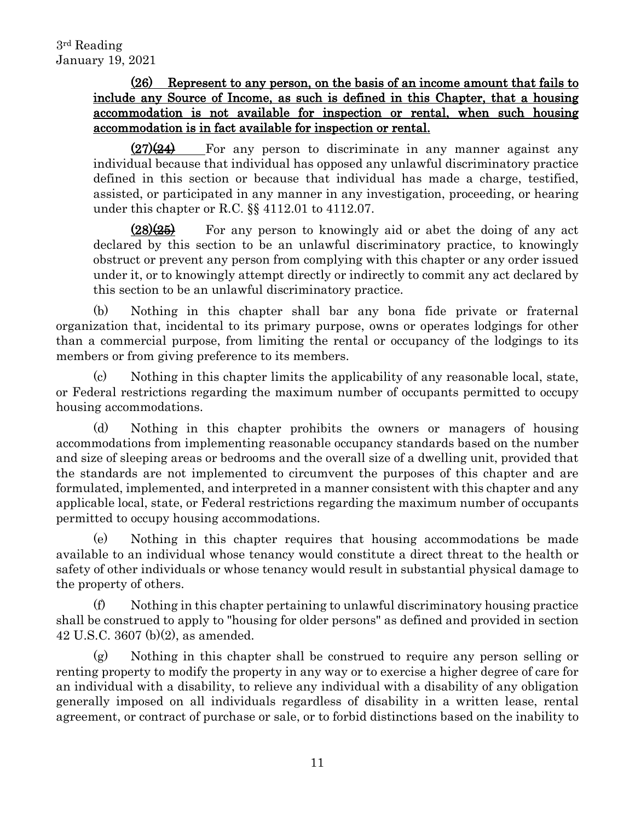# (26) Represent to any person, on the basis of an income amount that fails to include any Source of Income, as such is defined in this Chapter, that a housing accommodation is not available for inspection or rental, when such housing accommodation is in fact available for inspection or rental.

 $(27)(24)$  For any person to discriminate in any manner against any individual because that individual has opposed any unlawful discriminatory practice defined in this section or because that individual has made a charge, testified, assisted, or participated in any manner in any investigation, proceeding, or hearing under this chapter or R.C. §§ 4112.01 to 4112.07.

 $(28)(25)$  For any person to knowingly aid or abet the doing of any act declared by this section to be an unlawful discriminatory practice, to knowingly obstruct or prevent any person from complying with this chapter or any order issued under it, or to knowingly attempt directly or indirectly to commit any act declared by this section to be an unlawful discriminatory practice.

(b) Nothing in this chapter shall bar any bona fide private or fraternal organization that, incidental to its primary purpose, owns or operates lodgings for other than a commercial purpose, from limiting the rental or occupancy of the lodgings to its members or from giving preference to its members.

(c) Nothing in this chapter limits the applicability of any reasonable local, state, or Federal restrictions regarding the maximum number of occupants permitted to occupy housing accommodations.

(d) Nothing in this chapter prohibits the owners or managers of housing accommodations from implementing reasonable occupancy standards based on the number and size of sleeping areas or bedrooms and the overall size of a dwelling unit, provided that the standards are not implemented to circumvent the purposes of this chapter and are formulated, implemented, and interpreted in a manner consistent with this chapter and any applicable local, state, or Federal restrictions regarding the maximum number of occupants permitted to occupy housing accommodations.

(e) Nothing in this chapter requires that housing accommodations be made available to an individual whose tenancy would constitute a direct threat to the health or safety of other individuals or whose tenancy would result in substantial physical damage to the property of others.

(f) Nothing in this chapter pertaining to unlawful discriminatory housing practice shall be construed to apply to "housing for older persons" as defined and provided in section 42 U.S.C. 3607 (b)(2), as amended.

(g) Nothing in this chapter shall be construed to require any person selling or renting property to modify the property in any way or to exercise a higher degree of care for an individual with a disability, to relieve any individual with a disability of any obligation generally imposed on all individuals regardless of disability in a written lease, rental agreement, or contract of purchase or sale, or to forbid distinctions based on the inability to